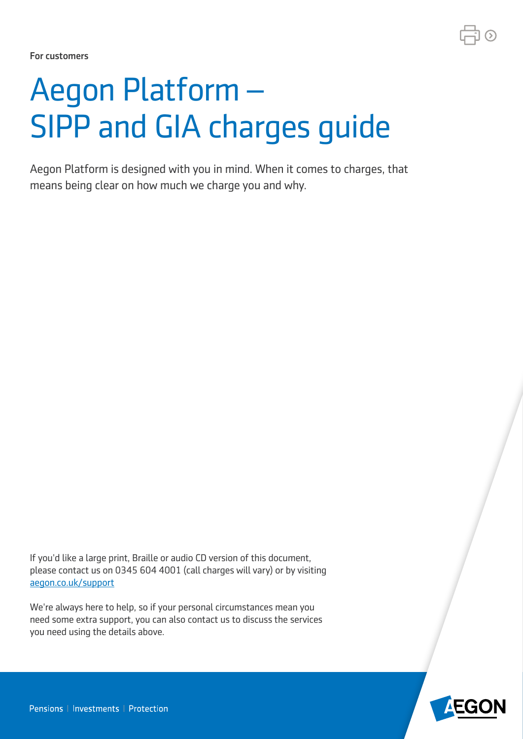

For customers

# Aegon Platform – SIPP and GIA charges guide

Aegon Platform is designed with you in mind. When it comes to charges, that means being clear on how much we charge you and why.

If you'd like a large print, Braille or audio CD version of this document, please contact us on 0345 604 4001 (call charges will vary) or by visiting [aegon.co.uk/support](http://aegon.co.uk/support)

We're always here to help, so if your personal circumstances mean you need some extra support, you can also contact us to discuss the services you need using the details above.

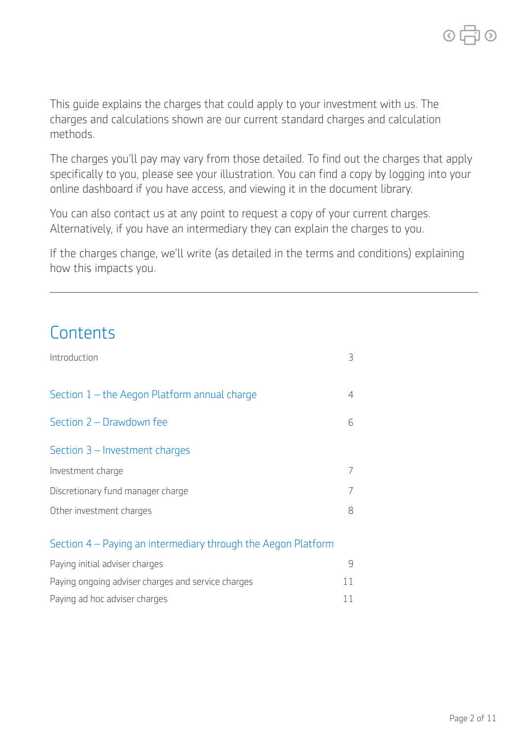This guide explains the charges that could apply to your investment with us. The charges and calculations shown are our current standard charges and calculation methods.

The charges you'll pay may vary from those detailed. To find out the charges that apply specifically to you, please see your illustration. You can find a copy by logging into your online dashboard if you have access, and viewing it in the document library.

You can also contact us at any point to request a copy of your current charges. Alternatively, if you have an intermediary they can explain the charges to you.

If the charges change, we'll write (as detailed in the terms and conditions) explaining how this impacts you.

### **Contents**

| Introduction                                                  | Β |
|---------------------------------------------------------------|---|
| Section 1 - the Aegon Platform annual charge                  | 4 |
| Section 2 - Drawdown fee                                      | 6 |
| Section $3$ – Investment charges                              |   |
| Investment charge                                             |   |
| Discretionary fund manager charge                             |   |
| Other investment charges                                      | 8 |
| Section 4 – Paying an intermediary through the Aegon Platform |   |

| Paying initial adviser charges                     |    |
|----------------------------------------------------|----|
| Paying ongoing adviser charges and service charges |    |
| Paying ad hoc adviser charges                      | 11 |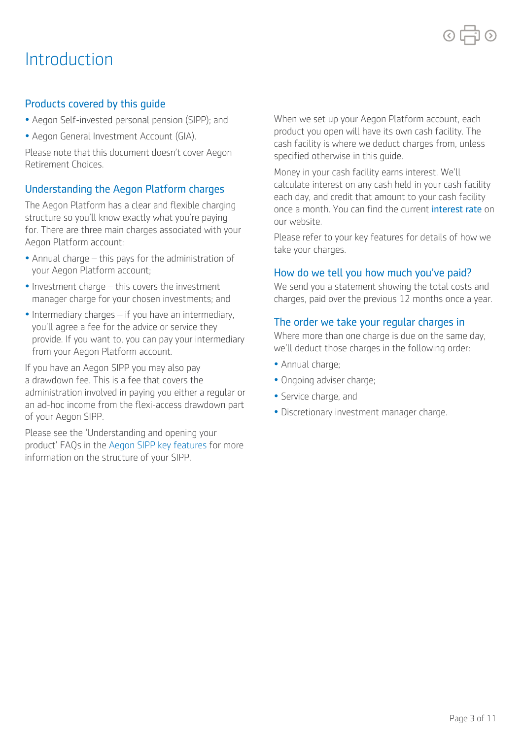### Introduction

#### Products covered by this guide

- Aegon Self-invested personal pension (SIPP); and
- Aegon General Investment Account (GIA).

Please note that this document doesn't cover Aegon Retirement Choices.

#### Understanding the Aegon Platform charges

The Aegon Platform has a clear and flexible charging structure so you'll know exactly what you're paying for. There are three main charges associated with your Aegon Platform account:

- • Annual charge this pays for the administration of your Aegon Platform account;
- • Investment charge this covers the investment manager charge for your chosen investments; and
- • Intermediary charges if you have an intermediary, you'll agree a fee for the advice or service they provide. If you want to, you can pay your intermediary from your Aegon Platform account.

If you have an Aegon SIPP you may also pay a drawdown fee. This is a fee that covers the administration involved in paying you either a regular or an ad-hoc income from the flexi-access drawdown part of your Aegon SIPP.

Please see the 'Understanding and opening your product' FAQs in the [Aegon SIPP key features](https://customerdashboard.aegon.co.uk/content/dam/documents/key-features-of-the-aegon-sipp.pdf) for more information on the structure of your SIPP.

When we set up your Aegon Platform account, each product you open will have its own cash facility. The cash facility is where we deduct charges from, unless specified otherwise in this guide.

Money in your cash facility earns interest. We'll calculate interest on any cash held in your cash facility each day, and credit that amount to your cash facility once a month. You can find the current [interest rate](https://customerdashboard.aegon.co.uk/content/help-and-support.html?tab=faqs#what-rate-of-interest-is-payable-on-cash-in-my-SIPP-cash-facility) on our website.

Please refer to your key features for details of how we take your charges.

#### How do we tell you how much you've paid?

We send you a statement showing the total costs and charges, paid over the previous 12 months once a year.

#### The order we take your regular charges in

Where more than one charge is due on the same day, we'll deduct those charges in the following order:

- Annual charge;
- Ongoing adviser charge;
- Service charge, and
- Discretionary investment manager charge.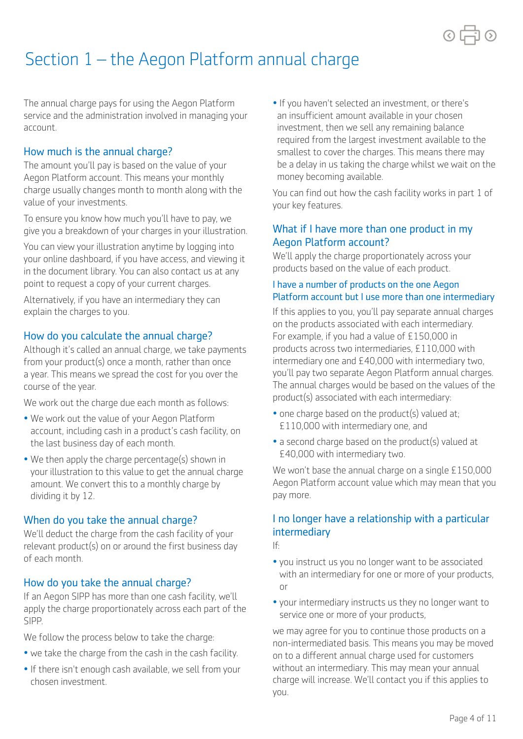

## Section 1 – the Aegon Platform annual charge

The annual charge pays for using the Aegon Platform service and the administration involved in managing your account.

#### How much is the annual charge?

The amount you'll pay is based on the value of your Aegon Platform account. This means your monthly charge usually changes month to month along with the value of your investments.

To ensure you know how much you'll have to pay, we give you a breakdown of your charges in your illustration.

You can view your illustration anytime by logging into your online dashboard, if you have access, and viewing it in the document library. You can also contact us at any point to request a copy of your current charges.

Alternatively, if you have an intermediary they can explain the charges to you.

#### How do you calculate the annual charge?

Although it's called an annual charge, we take payments from your product(s) once a month, rather than once a year. This means we spread the cost for you over the course of the year.

We work out the charge due each month as follows:

- We work out the value of your Aegon Platform account, including cash in a product's cash facility, on the last business day of each month.
- We then apply the charge percentage(s) shown in your illustration to this value to get the annual charge amount. We convert this to a monthly charge by dividing it by 12.

#### When do you take the annual charge?

We'll deduct the charge from the cash facility of your relevant product(s) on or around the first business day of each month.

#### How do you take the annual charge?

If an Aegon SIPP has more than one cash facility, we'll apply the charge proportionately across each part of the SIPP.

We follow the process below to take the charge:

- we take the charge from the cash in the cash facility.
- If there isn't enough cash available, we sell from your chosen investment.

• If you haven't selected an investment, or there's an insufficient amount available in your chosen investment, then we sell any remaining balance required from the largest investment available to the smallest to cover the charges. This means there may be a delay in us taking the charge whilst we wait on the money becoming available.

You can find out how the cash facility works in part 1 of your key features.

#### What if I have more than one product in my Aegon Platform account?

We'll apply the charge proportionately across your products based on the value of each product.

#### I have a number of products on the one Aegon Platform account but I use more than one intermediary

For example, if you had a value of £150,000 in If this applies to you, you'll pay separate annual charges on the products associated with each intermediary. products across two intermediaries, £110,000 with intermediary one and £40,000 with intermediary two, you'll pay two separate Aegon Platform annual charges. The annual charges would be based on the values of the product(s) associated with each intermediary:

- one charge based on the product(s) valued at; £110,000 with intermediary one, and
- a second charge based on the product(s) valued at £40,000 with intermediary two.

We won't base the annual charge on a single £150,000 Aegon Platform account value which may mean that you pay more.

#### I no longer have a relationship with a particular intermediary

If:

- you instruct us you no longer want to be associated with an intermediary for one or more of your products, or
- your intermediary instructs us they no longer want to service one or more of your products,

we may agree for you to continue those products on a non-intermediated basis. This means you may be moved on to a diferent annual charge used for customers without an intermediary. This may mean your annual charge will increase. We'll contact you if this applies to you.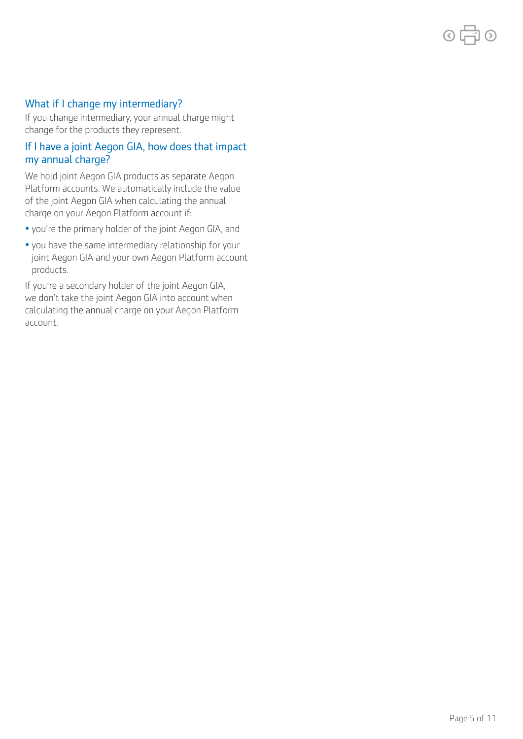#### What if I change my intermediary?

If you change intermediary, your annual charge might change for the products they represent.

#### If I have a joint Aegon GIA, how does that impact my annual charge?

We hold joint Aegon GIA products as separate Aegon Platform accounts. We automatically include the value of the joint Aegon GIA when calculating the annual charge on your Aegon Platform account if:

- you're the primary holder of the joint Aegon GIA, and
- you have the same intermediary relationship for your joint Aegon GIA and your own Aegon Platform account products.

If you're a secondary holder of the joint Aegon GIA, we don't take the joint Aegon GIA into account when calculating the annual charge on your Aegon Platform account.

 $\odot$   $\Box$   $\odot$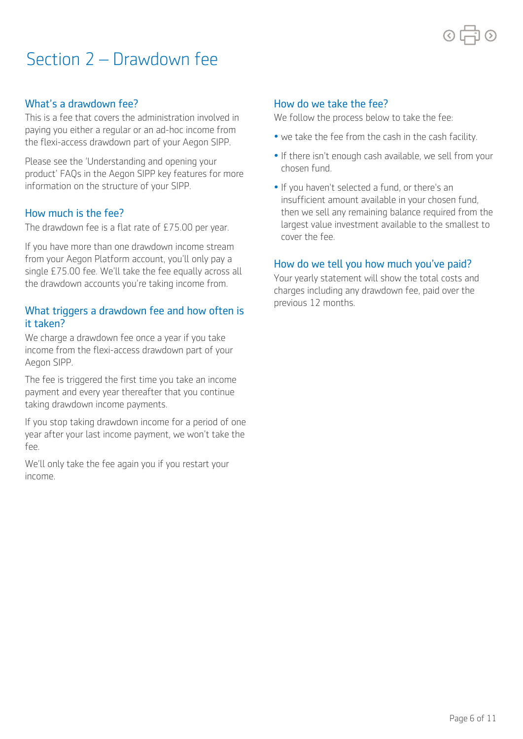### Section 2 – Drawdown fee

#### What's a drawdown fee?

This is a fee that covers the administration involved in paying you either a regular or an ad-hoc income from the flexi-access drawdown part of your Aegon SIPP.

Please see the 'Understanding and opening your product' FAQs in the Aegon SIPP key features for more information on the structure of your SIPP.

#### How much is the fee?

The drawdown fee is a flat rate of £75.00 per year.

If you have more than one drawdown income stream from your Aegon Platform account, you'll only pay a single £75.00 fee. We'll take the fee equally across all the drawdown accounts you're taking income from.

#### What triggers a drawdown fee and how often is it taken?

Aegon SIPP. We charge a drawdown fee once a year if you take income from the flexi-access drawdown part of your

The fee is triggered the first time you take an income payment and every year thereafter that you continue taking drawdown income payments.

If you stop taking drawdown income for a period of one year after your last income payment, we won't take the fee.

We'll only take the fee again you if you restart your income.

#### How do we take the fee?

We follow the process below to take the fee:

- we take the fee from the cash in the cash facility.
- If there isn't enough cash available, we sell from your chosen fund.
- If you haven't selected a fund, or there's an insufficient amount available in your chosen fund, then we sell any remaining balance required from the largest value investment available to the smallest to cover the fee.

#### How do we tell you how much you've paid?

Your yearly statement will show the total costs and charges including any drawdown fee, paid over the previous 12 months.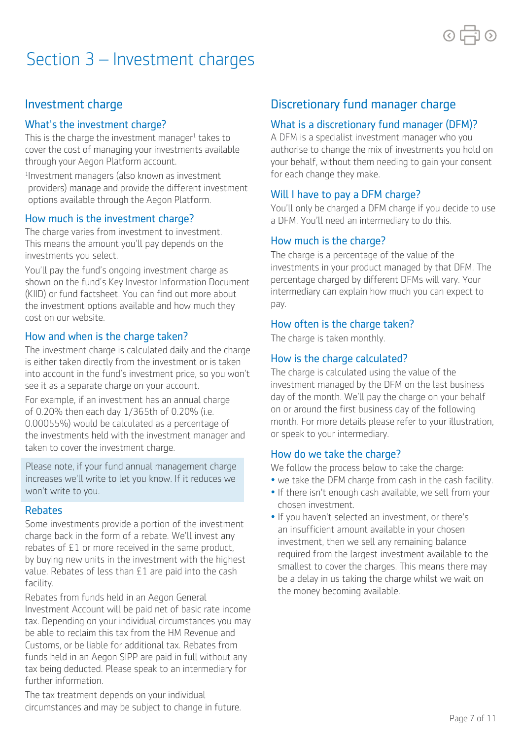

### Section 3 – Investment charges

#### Investment charge

#### What's the investment charge?

This is the charge the investment manager<sup>1</sup> takes to cover the cost of managing your investments available through your Aegon Platform account.

1 Investment managers (also known as investment providers) manage and provide the diferent investment options available through the Aegon Platform.

#### How much is the investment charge?

The charge varies from investment to investment. This means the amount you'll pay depends on the investments you select.

You'll pay the fund's ongoing investment charge as shown on the fund's Key Investor Information Document (KIID) or fund factsheet. You can find out more about the investment options available and how much they cost on our website.

#### How and when is the charge taken?

The investment charge is calculated daily and the charge is either taken directly from the investment or is taken into account in the fund's investment price, so you won't see it as a separate charge on your account.

For example, if an investment has an annual charge of 0.20% then each day 1/365th of 0.20% (i.e. 0.00055%) would be calculated as a percentage of the investments held with the investment manager and taken to cover the investment charge.

Please note, if your fund annual management charge increases we'll write to let you know. If it reduces we won't write to you.

#### Rebates

Some investments provide a portion of the investment charge back in the form of a rebate. We'll invest any rebates of £1 or more received in the same product, by buying new units in the investment with the highest value. Rebates of less than £1 are paid into the cash facility.

Rebates from funds held in an Aegon General Investment Account will be paid net of basic rate income tax. Depending on your individual circumstances you may be able to reclaim this tax from the HM Revenue and Customs, or be liable for additional tax. Rebates from funds held in an Aegon SIPP are paid in full without any tax being deducted. Please speak to an intermediary for further information.

The tax treatment depends on your individual circumstances and may be subject to change in future.

### Discretionary fund manager charge

#### What is a discretionary fund manager (DFM)?

A DFM is a specialist investment manager who you authorise to change the mix of investments you hold on your behalf, without them needing to gain your consent for each change they make.

#### Will I have to pay a DFM charge?

You'll only be charged a DFM charge if you decide to use a DFM. You'll need an intermediary to do this.

#### How much is the charge?

The charge is a percentage of the value of the investments in your product managed by that DFM. The percentage charged by different DFMs will vary. Your intermediary can explain how much you can expect to pay.

#### How often is the charge taken?

The charge is taken monthly.

#### How is the charge calculated?

The charge is calculated using the value of the investment managed by the DFM on the last business day of the month. We'll pay the charge on your behalf on or around the first business day of the following month. For more details please refer to your illustration, or speak to your intermediary.

#### How do we take the charge?

We follow the process below to take the charge:

- we take the DFM charge from cash in the cash facility.
- If there isn't enough cash available, we sell from your chosen investment.
- If you haven't selected an investment, or there's an insufficient amount available in your chosen investment, then we sell any remaining balance required from the largest investment available to the smallest to cover the charges. This means there may be a delay in us taking the charge whilst we wait on the money becoming available.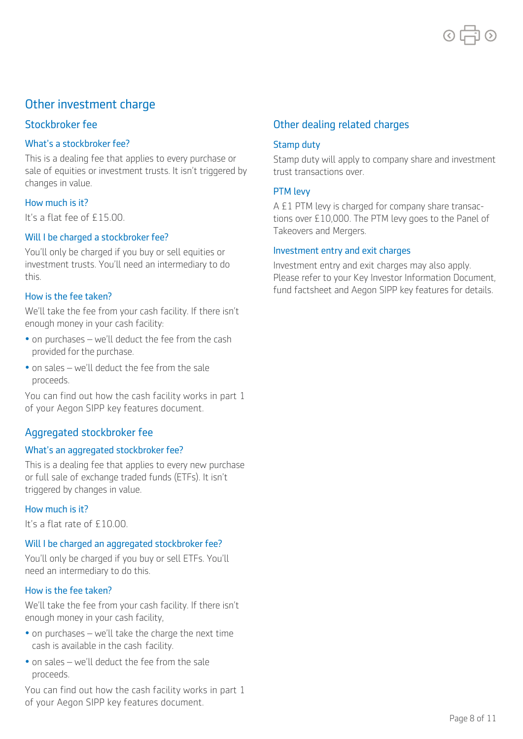

### Other investment charge

#### Stockbroker fee

#### What's a stockbroker fee?

 This is a dealing fee that applies to every purchase or sale of equities or investment trusts. It isn't triggered by changes in value.

#### How much is it?

It's a flat fee of £15.00.

#### Will I be charged a stockbroker fee?

 You'll only be charged if you buy or sell equities or investment trusts. You'll need an intermediary to do this.

#### How is the fee taken?

 enough money in your cash facility: We'll take the fee from your cash facility. If there isn't

- • on purchases we'll deduct the fee from the cash provided for the purchase.
- • on sales we'll deduct the fee from the sale proceeds.

You can find out how the cash facility works in part 1 of your Aegon SIPP key features document.

#### Aggregated stockbroker fee

#### What's an aggregated stockbroker fee?

 or full sale of exchange traded funds (ETFs). It isn't This is a dealing fee that applies to every new purchase triggered by changes in value.

#### How much is it?

It's a flat rate of £10.00.

#### Will I be charged an aggregated stockbroker fee?

 need an intermediary to do this. You'll only be charged if you buy or sell ETFs. You'll

#### How is the fee taken?

 enough money in your cash facility, We'll take the fee from your cash facility. If there isn't

- • on purchases we'll take the charge the next time cash is available in the cash facility.
- • on sales we'll deduct the fee from the sale proceeds.

You can find out how the cash facility works in part 1 of your Aegon SIPP key features document.

#### Other dealing related charges

#### Stamp duty

 Stamp duty will apply to company share and investment trust transactions over.

#### PTM levy

A £1 PTM levy is charged for company share transactions over £10,000. The PTM levy goes to the Panel of Takeovers and Mergers.

#### Investment entry and exit charges

 Please refer to your Key Investor Information Document, Investment entry and exit charges may also apply. fund factsheet and Aegon SIPP key features for details.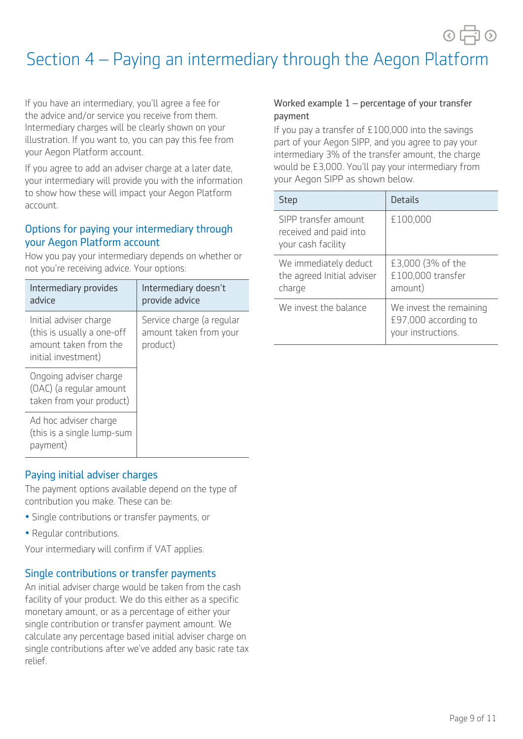$\circ$  市 $\circ$ 

### Section 4 – Paying an intermediary through the Aegon Platform

If you have an intermediary, you'll agree a fee for the advice and/or service you receive from them. Intermediary charges will be clearly shown on your illustration. If you want to, you can pay this fee from your Aegon Platform account.

If you agree to add an adviser charge at a later date, your intermediary will provide you with the information to show how these will impact your Aegon Platform account.

#### Options for paying your intermediary through your Aegon Platform account

How you pay your intermediary depends on whether or not you're receiving advice. Your options:

| Intermediary provides<br>advice                                                                      | Intermediary doesn't<br>provide advice                          |
|------------------------------------------------------------------------------------------------------|-----------------------------------------------------------------|
| Initial adviser charge<br>(this is usually a one-off<br>amount taken from the<br>initial investment) | Service charge (a regular<br>amount taken from your<br>product) |
| Ongoing adviser charge<br>(OAC) (a regular amount<br>taken from your product)                        |                                                                 |
| Ad hoc adviser charge<br>(this is a single lump-sum<br>payment)                                      |                                                                 |

### Paying initial adviser charges

The payment options available depend on the type of contribution you make. These can be:

- Single contributions or transfer payments, or
- Regular contributions.

Your intermediary will confirm if VAT applies.

#### Single contributions or transfer payments

An initial adviser charge would be taken from the cash facility of your product. We do this either as a specific monetary amount, or as a percentage of either your single contribution or transfer payment amount. We calculate any percentage based initial adviser charge on single contributions after we've added any basic rate tax relief.

#### Worked example 1 – percentage of your transfer payment

If you pay a transfer of £100,000 into the savings part of your Aegon SIPP, and you agree to pay your intermediary 3% of the transfer amount, the charge would be £3,000. You'll pay your intermediary from your Aegon SIPP as shown below.

| <b>Step</b>                                                          | <b>Details</b>                                                        |
|----------------------------------------------------------------------|-----------------------------------------------------------------------|
| SIPP transfer amount<br>received and paid into<br>your cash facility | £100,000                                                              |
| We immediately deduct<br>the agreed Initial adviser<br>charge        | £3,000 (3% of the<br>£100,000 transfer<br>amount)                     |
| We invest the balance                                                | We invest the remaining<br>£97,000 according to<br>your instructions. |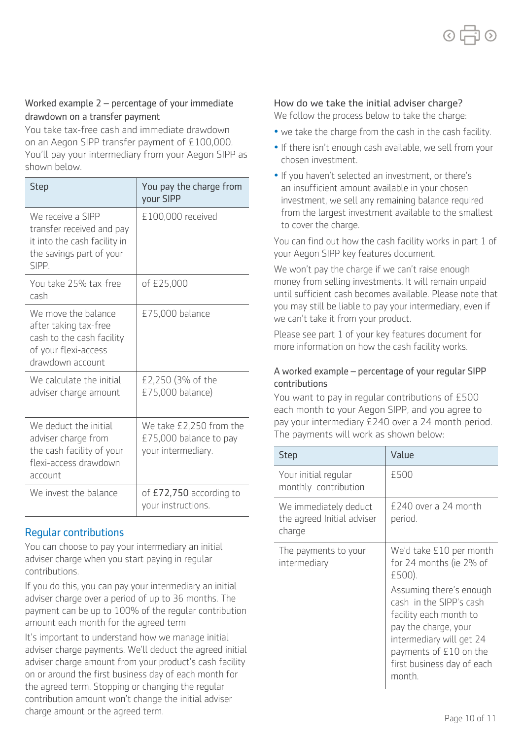#### Worked example 2 – percentage of your immediate drawdown on a transfer payment

You take tax-free cash and immediate drawdown on an Aegon SIPP transfer payment of £100,000. You'll pay your intermediary from your Aegon SIPP as shown below.

| <b>Step</b>                                                                                                           | You pay the charge from<br>your SIPP                                    |
|-----------------------------------------------------------------------------------------------------------------------|-------------------------------------------------------------------------|
| We receive a SIPP<br>transfer received and pay<br>it into the cash facility in<br>the savings part of your<br>SIPP.   | £100,000 received                                                       |
| You take 25% tax-free<br>cash                                                                                         | of £25,000                                                              |
| We move the balance<br>after taking tax-free<br>cash to the cash facility<br>of your flexi-access<br>drawdown account | £75,000 balance                                                         |
| We calculate the initial<br>adviser charge amount                                                                     | £2,250 (3% of the<br>£75,000 balance)                                   |
| We deduct the initial<br>adviser charge from<br>the cash facility of your<br>flexi-access drawdown<br>account         | We take £2,250 from the<br>£75,000 balance to pay<br>your intermediary. |
| We invest the balance                                                                                                 | of £72,750 according to<br>your instructions.                           |

#### Regular contributions

You can choose to pay your intermediary an initial adviser charge when you start paying in regular contributions.

If you do this, you can pay your intermediary an initial adviser charge over a period of up to 36 months. The payment can be up to 100% of the regular contribution amount each month for the agreed term

It's important to understand how we manage initial adviser charge payments. We'll deduct the agreed initial adviser charge amount from your product's cash facility on or around the first business day of each month for the agreed term. Stopping or changing the regular contribution amount won't change the initial adviser charge amount or the agreed term.

#### How do we take the initial adviser charge?

We follow the process below to take the charge:

- we take the charge from the cash in the cash facility.
- If there isn't enough cash available, we sell from your chosen investment.
- If you haven't selected an investment, or there's an insufficient amount available in your chosen investment, we sell any remaining balance required from the largest investment available to the smallest to cover the charge.

You can find out how the cash facility works in part 1 of your Aegon SIPP key features document.

We won't pay the charge if we can't raise enough money from selling investments. It will remain unpaid until sufficient cash becomes available. Please note that you may still be liable to pay your intermediary, even if we can't take it from your product.

Please see part 1 of your key features document for more information on how the cash facility works.

#### A worked example – percentage of your regular SIPP contributions

You want to pay in regular contributions of £500 each month to your Aegon SIPP, and you agree to pay your intermediary £240 over a 24 month period. The payments will work as shown below:

| <b>Step</b>                                                   | Value                                                                                                                                                                                              |
|---------------------------------------------------------------|----------------------------------------------------------------------------------------------------------------------------------------------------------------------------------------------------|
| Your initial regular<br>monthly contribution                  | £500                                                                                                                                                                                               |
| We immediately deduct<br>the agreed Initial adviser<br>charge | £240 over a 24 month<br>period.                                                                                                                                                                    |
| The payments to your<br>intermediary                          | We'd take £10 per month<br>for 24 months (ie 2% of<br>£500).                                                                                                                                       |
|                                                               | Assuming there's enough<br>cash in the SIPP's cash<br>facility each month to<br>pay the charge, your<br>intermediary will get 24<br>payments of £10 on the<br>first business day of each<br>month. |